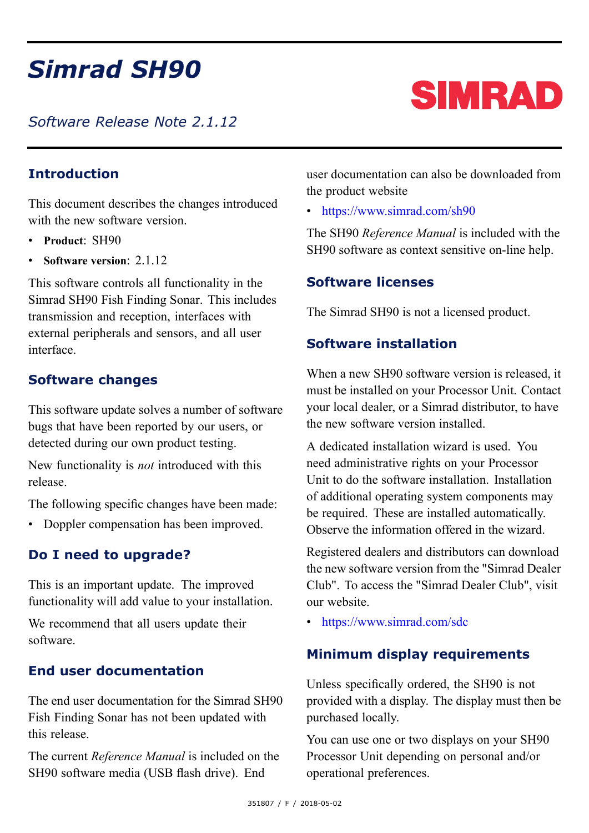# *Simrad SH90*

*Software Release Note 2.1.12*

# **Introduction**

This document describes the changes introduced with the new software version.

- **Product**: SH90
- **Software version**: 2.1.12

This software controls all functionality in the Simrad SH90 Fish Finding Sonar. This includes transmission and reception, interfaces with external peripherals and sensors, and all user interface.

# **Software changes**

This software update solves <sup>a</sup> number of software bugs that have been reported by our users, or detected during our own product testing.

New functionality is *not* introduced with this release.

The following specific changes have been made:

• Doppler compensation has been improved.

# **Do I need to upgrade?**

This is an important update. The improved functionality will add value to your installation.

We recommend that all users update their software.

#### **End user documentation**

The end user documentation for the Simrad SH90 Fish Finding Sonar has not been updated with this release.

The current *Reference Manual* is included on the SH90 software media (USB flash drive). End

user documentation can also be downloaded from the product website

• <https://www.simrad.com/sh90>

The SH90 *Reference Manual* is included with the SH90 software as context sensitive on-line help.

# **Software licenses**

The Simrad SH90 is not <sup>a</sup> licensed product.

### **Software installation**

When <sup>a</sup> new SH90 software version is released, it must be installed on your Processor Unit. Contact your local dealer, or <sup>a</sup> Simrad distributor, to have the new software version installed.

A dedicated installation wizard is used. You need administrative rights on your Processor Unit to do the software installation. Installation of additional operating system components may be required. These are installed automatically. Observe the information offered in the wizard.

Registered dealers and distributors can download the new software version from the "Simrad Dealer Club". To access the "Simrad Dealer Club", visit our website.

• <https://www.simrad.com/sdc>

#### **Minimum display requirements**

Unless specifically ordered, the SH90 is not provided with <sup>a</sup> display. The display must then be purchased locally.

You can use one or two displays on your SH90 Processor Unit depending on personal and/or operational preferences.